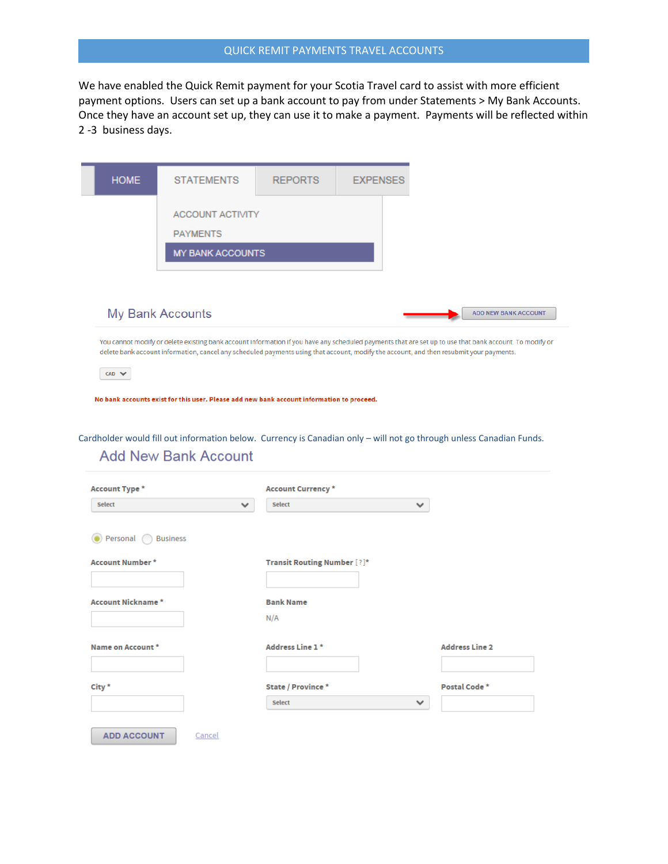## QUICK REMIT PAYMENTS TRAVEL ACCOUNTS

We have enabled the Quick Remit payment for your Scotia Travel card to assist with more efficient payment options. Users can set up a bank account to pay from under Statements > My Bank Accounts. Once they have an account set up, they can use it to make a payment. Payments will be reflected within 2 -3 business days.



You cannot modify or delete existing bank account information if you have any scheduled payments that are set up to use that bank account. To modify or delete bank account information, cancel any scheduled payments using that account, modify the account, and then resubmit your payments.

 $CAD \; \blacktriangleright$ 

No bank accounts exist for this user. Please add new bank account information to proceed.

Cardholder would fill out information below. Currency is Canadian only – will not go through unless Canadian Funds.**Add New Bank Account** 

| <b>Account Type *</b>    |              | <b>Account Currency*</b>           |              |                       |
|--------------------------|--------------|------------------------------------|--------------|-----------------------|
| Select                   | $\checkmark$ | <b>Select</b>                      | v            |                       |
| Personal Business        |              |                                    |              |                       |
| <b>Account Number*</b>   |              | <b>Transit Routing Number [?]*</b> |              |                       |
| <b>Account Nickname*</b> |              | <b>Bank Name</b>                   |              |                       |
|                          |              | N/A                                |              |                       |
| Name on Account *        |              | Address Line 1*                    |              | <b>Address Line 2</b> |
| City *                   |              | State / Province *                 |              | Postal Code *         |
|                          |              | <b>Select</b>                      | $\checkmark$ |                       |
| <b>ADD ACCOUNT</b>       | Cancel       |                                    |              |                       |